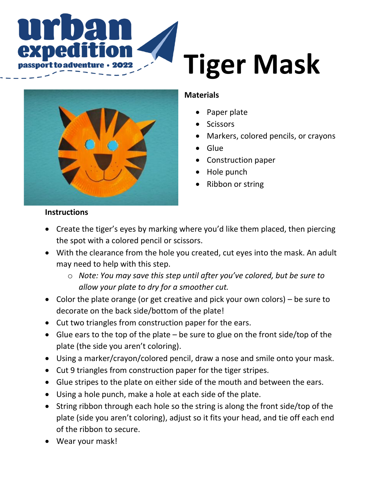

# **Tiger Mask**



## **Materials**

- Paper plate
- **Scissors**
- Markers, colored pencils, or crayons
- Glue
- Construction paper
- Hole punch
- Ribbon or string

### **Instructions**

- Create the tiger's eyes by marking where you'd like them placed, then piercing the spot with a colored pencil or scissors.
- With the clearance from the hole you created, cut eyes into the mask. An adult may need to help with this step.
	- o *Note: You may save this step until after you've colored, but be sure to allow your plate to dry for a smoother cut.*
- Color the plate orange (or get creative and pick your own colors) be sure to decorate on the back side/bottom of the plate!
- Cut two triangles from construction paper for the ears.
- Glue ears to the top of the plate be sure to glue on the front side/top of the plate (the side you aren't coloring).
- Using a marker/crayon/colored pencil, draw a nose and smile onto your mask.
- Cut 9 triangles from construction paper for the tiger stripes.
- Glue stripes to the plate on either side of the mouth and between the ears.
- Using a hole punch, make a hole at each side of the plate.
- String ribbon through each hole so the string is along the front side/top of the plate (side you aren't coloring), adjust so it fits your head, and tie off each end of the ribbon to secure.
- Wear your mask!